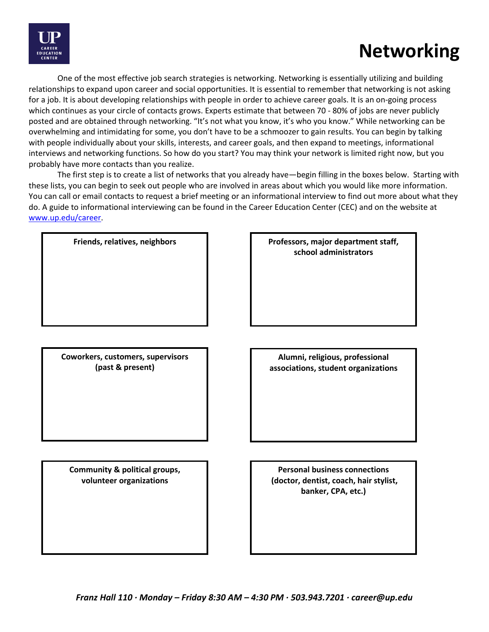

# **Networking**

One of the most effective job search strategies is networking. Networking is essentially utilizing and building relationships to expand upon career and social opportunities. It is essential to remember that networking is not asking for a job. It is about developing relationships with people in order to achieve career goals. It is an on-going process which continues as your circle of contacts grows. Experts estimate that between 70 - 80% of jobs are never publicly posted and are obtained through networking. "It's not what you know, it's who you know." While networking can be overwhelming and intimidating for some, you don't have to be a schmoozer to gain results. You can begin by talking with people individually about your skills, interests, and career goals, and then expand to meetings, informational interviews and networking functions. So how do you start? You may think your network is limited right now, but you probably have more contacts than you realize.

The first step is to create a list of networks that you already have—begin filling in the boxes below. Starting with these lists, you can begin to seek out people who are involved in areas about which you would like more information. You can call or email contacts to request a brief meeting or an informational interview to find out more about what they do. A guide to informational interviewing can be found in the Career Education Center (CEC) and on the website at [www.up.edu/career.](http://www.up.edu/career)

|  | <b>Friends, relatives, neignbors</b> |  |
|--|--------------------------------------|--|
|  |                                      |  |

**Coworkers, customers, supervisors (past & present)**

Friends, relatives, neighbors **Professors, major department staff, school administrators**

> **Alumni, religious, professional associations, student organizations**

**Community & political groups, volunteer organizations**

**Personal business connections (doctor, dentist, coach, hair stylist, banker, CPA, etc.)**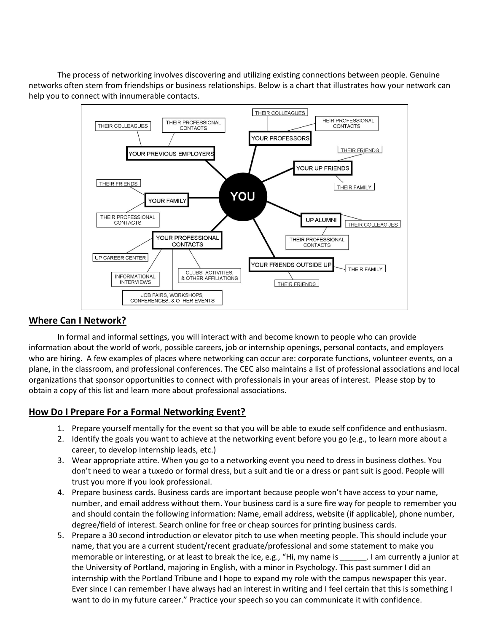The process of networking involves discovering and utilizing existing connections between people. Genuine networks often stem from friendships or business relationships. Below is a chart that illustrates how your network can help you to connect with innumerable contacts.



#### **Where Can I Network?**

In formal and informal settings, you will interact with and become known to people who can provide information about the world of work, possible careers, job or internship openings, personal contacts, and employers who are hiring. A few examples of places where networking can occur are: corporate functions, volunteer events, on a plane, in the classroom, and professional conferences. The CEC also maintains a list of professional associations and local organizations that sponsor opportunities to connect with professionals in your areas of interest. Please stop by to obtain a copy of this list and learn more about professional associations.

#### **How Do I Prepare For a Formal Networking Event?**

- 1. Prepare yourself mentally for the event so that you will be able to exude self confidence and enthusiasm.
- 2. Identify the goals you want to achieve at the networking event before you go (e.g., to learn more about a career, to develop internship leads, etc.)
- 3. Wear appropriate attire. When you go to a networking event you need to dress in business clothes. You don't need to wear a tuxedo or formal dress, but a suit and tie or a dress or pant suit is good. People will trust you more if you look professional.
- 4. Prepare business cards. Business cards are important because people won't have access to your name, number, and email address without them. Your business card is a sure fire way for people to remember you and should contain the following information: Name, email address, website (if applicable), phone number, degree/field of interest. Search online for free or cheap sources for printing business cards.
- 5. Prepare a 30 second introduction or elevator pitch to use when meeting people. This should include your name, that you are a current student/recent graduate/professional and some statement to make you memorable or interesting, or at least to break the ice, e.g., "Hi, my name is \_\_\_\_\_\_. I am currently a junior at the University of Portland, majoring in English, with a minor in Psychology. This past summer I did an internship with the Portland Tribune and I hope to expand my role with the campus newspaper this year. Ever since I can remember I have always had an interest in writing and I feel certain that this is something I want to do in my future career." Practice your speech so you can communicate it with confidence.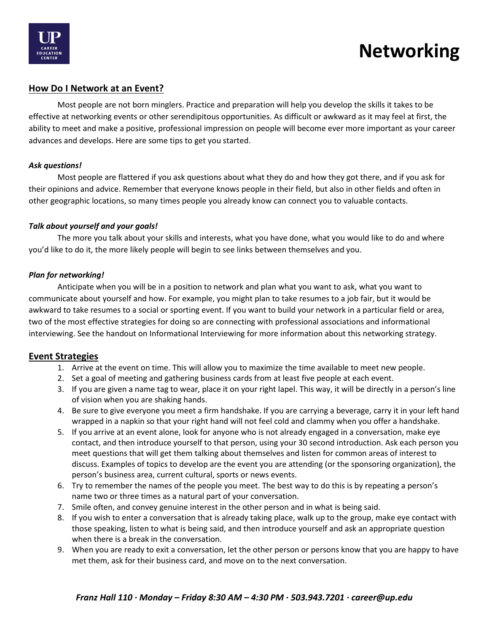

## **Networking**

### **How Do I Network at an Event?**

Most people are not born minglers. Practice and preparation will help you develop the skills it takes to be effective at networking events or other serendipitous opportunities. As difficult or awkward as it may feel at first, the ability to meet and make a positive, professional impression on people will become ever more important as your career advances and develops. Here are some tips to get you started.

#### *Ask questions!*

Most people are flattered if you ask questions about what they do and how they got there, and if you ask for their opinions and advice. Remember that everyone knows people in their field, but also in other fields and often in other geographic locations, so many times people you already know can connect you to valuable contacts.

#### *Talk about yourself and your goals!*

The more you talk about your skills and interests, what you have done, what you would like to do and where you'd like to do it, the more likely people will begin to see links between themselves and you.

#### *Plan for networking!*

Anticipate when you will be in a position to network and plan what you want to ask, what you want to communicate about yourself and how. For example, you might plan to take resumes to a job fair, but it would be awkward to take resumes to a social or sporting event. If you want to build your network in a particular field or area, two of the most effective strategies for doing so are connecting with professional associations and informational interviewing. See the handout on Informational Interviewing for more information about this networking strategy.

#### **Event Strategies**

- 1. Arrive at the event on time. This will allow you to maximize the time available to meet new people.
- 2. Set a goal of meeting and gathering business cards from at least five people at each event.
- 3. If you are given a name tag to wear, place it on your right lapel. This way, it will be directly in a person's line of vision when you are shaking hands.
- 4. Be sure to give everyone you meet a firm handshake. If you are carrying a beverage, carry it in your left hand wrapped in a napkin so that your right hand will not feel cold and clammy when you offer a handshake.
- 5. If you arrive at an event alone, look for anyone who is not already engaged in a conversation, make eye contact, and then introduce yourself to that person, using your 30 second introduction. Ask each person you meet questions that will get them talking about themselves and listen for common areas of interest to discuss. Examples of topics to develop are the event you are attending (or the sponsoring organization), the person's business area, current cultural, sports or news events.
- 6. Try to remember the names of the people you meet. The best way to do this is by repeating a person's name two or three times as a natural part of your conversation.
- 7. Smile often, and convey genuine interest in the other person and in what is being said.
- 8. If you wish to enter a conversation that is already taking place, walk up to the group, make eye contact with those speaking, listen to what is being said, and then introduce yourself and ask an appropriate question when there is a break in the conversation.
- 9. When you are ready to exit a conversation, let the other person or persons know that you are happy to have met them, ask for their business card, and move on to the next conversation.